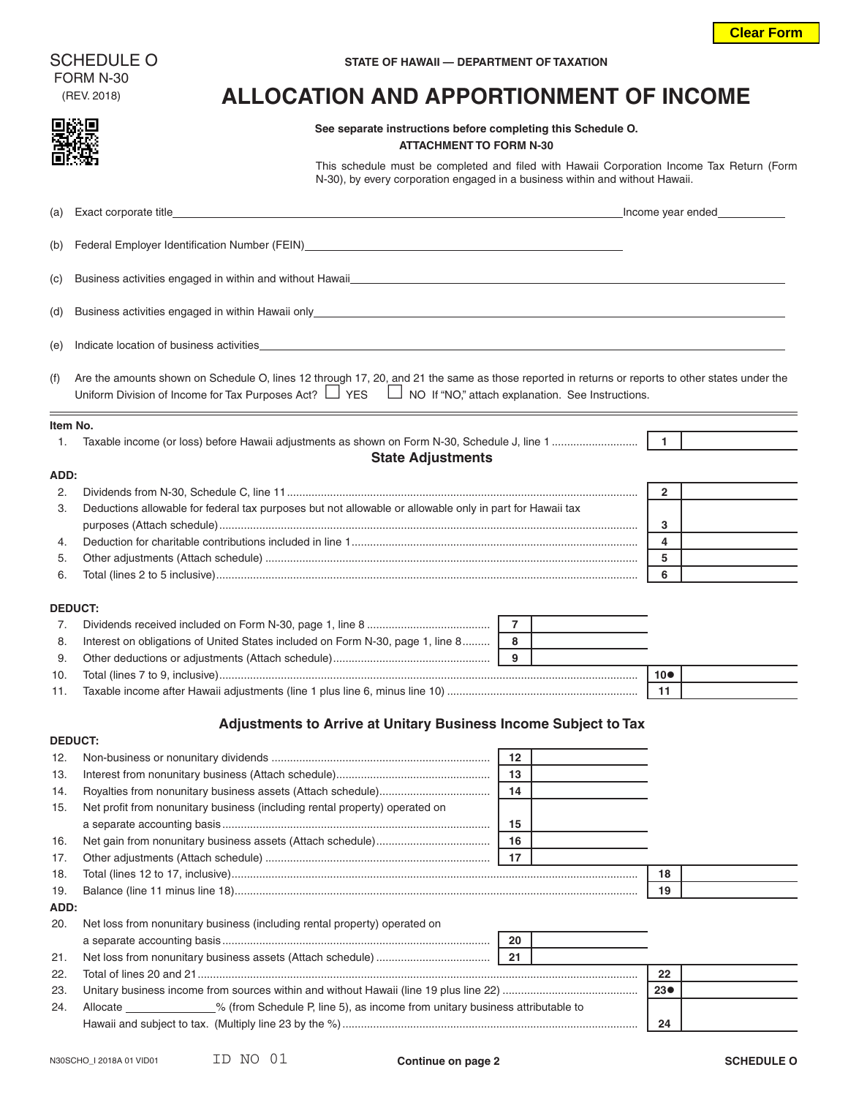FORM N-30

#### SCHEDULE O **STATE OF HAWAII — DEPARTMENT OF TAXATION**

# (REV. 2018) **ALLOCATION AND APPORTIONMENT OF INCOME**

# **See separate instructions before completing this Schedule O.**

#### **ATTACHMENT TO FORM N-30**

This schedule must be completed and filed with Hawaii Corporation Income Tax Return (Form N-30), by every corporation engaged in a business within and without Hawaii.

|          | (a) Exact corporate title                                                                                                                                                                                                                                               |                | Income year ended_ |  |
|----------|-------------------------------------------------------------------------------------------------------------------------------------------------------------------------------------------------------------------------------------------------------------------------|----------------|--------------------|--|
| (b)      | Federal Employer Identification Number (FEIN)___________________________________                                                                                                                                                                                        |                |                    |  |
| (c)      | Business activities engaged in within and without Hawaii_                                                                                                                                                                                                               |                |                    |  |
| (d)      | Business activities engaged in within Hawaii only_<br><u> 1980 - Jan James Sandarík (* 1950)</u>                                                                                                                                                                        |                |                    |  |
| (e)      | Indicate location of business activities                                                                                                                                                                                                                                |                |                    |  |
| (f)      | Are the amounts shown on Schedule O, lines 12 through 17, 20, and 21 the same as those reported in returns or reports to other states under the<br>Uniform Division of Income for Tax Purposes Act? $\Box$ YES $\Box$ NO If "NO," attach explanation. See Instructions. |                |                    |  |
| ltem No. |                                                                                                                                                                                                                                                                         |                |                    |  |
| 1.       |                                                                                                                                                                                                                                                                         |                | $\overline{1}$     |  |
|          | <b>State Adjustments</b>                                                                                                                                                                                                                                                |                |                    |  |
| ADD:     |                                                                                                                                                                                                                                                                         |                |                    |  |
| 2.       |                                                                                                                                                                                                                                                                         |                | $\overline{2}$     |  |
| 3.       | Deductions allowable for federal tax purposes but not allowable or allowable only in part for Hawaii tax                                                                                                                                                                |                |                    |  |
|          |                                                                                                                                                                                                                                                                         |                | 3                  |  |
| 4.       |                                                                                                                                                                                                                                                                         |                | 4                  |  |
| 5.       |                                                                                                                                                                                                                                                                         |                | 5                  |  |
| 6.       |                                                                                                                                                                                                                                                                         |                | 6                  |  |
|          | <b>DEDUCT:</b>                                                                                                                                                                                                                                                          |                |                    |  |
| 7.       |                                                                                                                                                                                                                                                                         | $\overline{7}$ |                    |  |
| 8.       | Interest on obligations of United States included on Form N-30, page 1, line 8                                                                                                                                                                                          | 8              |                    |  |
| 9.       |                                                                                                                                                                                                                                                                         | 9              |                    |  |
| 10.      |                                                                                                                                                                                                                                                                         |                | $10\bullet$        |  |
| 11.      |                                                                                                                                                                                                                                                                         |                | 11                 |  |
|          |                                                                                                                                                                                                                                                                         |                |                    |  |
|          | Adjustments to Arrive at Unitary Business Income Subject to Tax                                                                                                                                                                                                         |                |                    |  |
|          | <b>DEDUCT:</b>                                                                                                                                                                                                                                                          |                |                    |  |
| 12.      |                                                                                                                                                                                                                                                                         | 12             |                    |  |
| 13.      |                                                                                                                                                                                                                                                                         | 13             |                    |  |
| 14.      |                                                                                                                                                                                                                                                                         | 14             |                    |  |
| 15.      | Net profit from nonunitary business (including rental property) operated on                                                                                                                                                                                             |                |                    |  |
|          |                                                                                                                                                                                                                                                                         | 15             |                    |  |
| 16.      |                                                                                                                                                                                                                                                                         | 16             |                    |  |
| 17.      |                                                                                                                                                                                                                                                                         | 17             |                    |  |
| 18.      |                                                                                                                                                                                                                                                                         |                | 18                 |  |
| 19.      |                                                                                                                                                                                                                                                                         |                | 19                 |  |
| ADD:     |                                                                                                                                                                                                                                                                         |                |                    |  |
| 20.      | Net loss from nonunitary business (including rental property) operated on                                                                                                                                                                                               |                |                    |  |
|          |                                                                                                                                                                                                                                                                         | 20             |                    |  |
| 21.      |                                                                                                                                                                                                                                                                         | 21             |                    |  |
| 22.      |                                                                                                                                                                                                                                                                         |                | 22                 |  |
| 23.      |                                                                                                                                                                                                                                                                         |                | 23 <sub>o</sub>    |  |

24. Allocate \_\_\_\_\_\_\_\_\_\_\_\_\_% (from Schedule P, line 5), as income from unitary business attributable to Hawaii and subject to tax. (Multiply line 23 by the %)................................................................................................ **24**